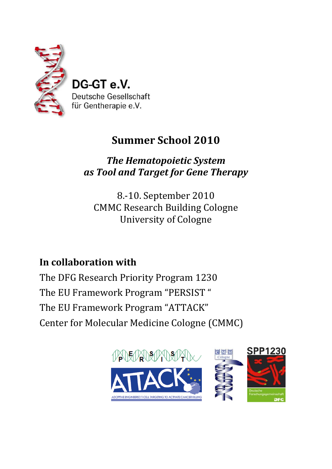

DG-GT e.V. Deutsche Gesellschaft für Gentherapie e.V.

# **Summer School 2010**

*The Hematopoietic System as Tool and Target for Gene Therapy*

8.‐10. September 2010 CMMC Research Building Cologne University of Cologne

# **In collaboration with**

The DFG Research Priority Program 1230 The EU Framework Program "PERSIST " The EU Framework Program "ATTACK" Center for Molecular Medicine Cologne (CMMC)

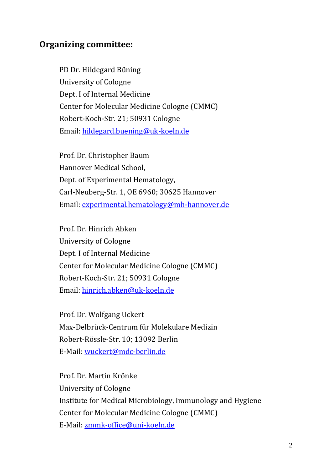## **Organizing committee:**

PD Dr. Hildegard Büning University of Cologne Dept. I of Internal Medicine Center for Molecular Medicine Cologne (CMMC) Robert‐Koch‐Str. 21; 50931 Cologne Email: hildegard.buening@uk‐koeln.de

Prof. Dr. Christopher Baum Hannover Medical School, Dept. of Experimental Hematology, Carl‐Neuberg‐Str. 1, OE 6960; 30625 Hannover Email: experimental.hematology@mh‐hannover.de

Prof. Dr. Hinrich Abken University of Cologne Dept. I of Internal Medicine Center for Molecular Medicine Cologne (CMMC) Robert‐Koch‐Str. 21; 50931 Cologne Email: hinrich.abken@uk‐koeln.de

Prof. Dr. Wolfgang Uckert Max‐Delbrück‐Centrum für Molekulare Medizin Robert‐Rössle‐Str. 10; 13092 Berlin E‐Mail: wuckert@mdc‐berlin.de

Prof. Dr. Martin Krönke University of Cologne Institute for Medical Microbiology, Immunology and Hygiene Center for Molecular Medicine Cologne (CMMC) E‐Mail: zmmk‐office@uni‐koeln.de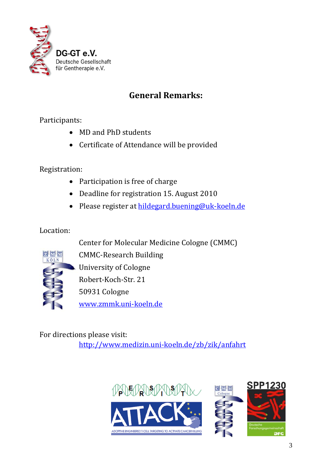

## **General Remarks:**

Participants:

- MD and PhD students
- Certificate of Attendance will be provided

## Registration:

- Participation is free of charge
- Deadline for registration 15. August 2010
- Please register at hildegard.buening@uk‐koeln.de

## Location:

Center for Molecular Medicine Cologne (CMMC)



CMMC‐Research Building University of Cologne Robert‐Koch‐Str. 21 50931 Cologne

www.zmmk.uni‐koeln.de

For directions please visit: http://www.medizin.uni‐koeln.de/zb/zik/anfahrt

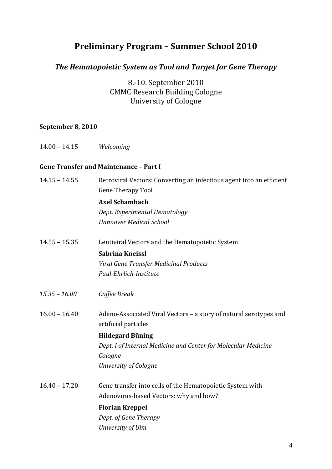## **Preliminary Program – Summer School 2010**

## *The Hematopoietic System as Tool and Target for Gene Therapy*

8.‐10. September 2010 CMMC Research Building Cologne University of Cologne

## **September 8, 2010**

| $14.00 - 14.15$ | Welcoming                                                                                        |
|-----------------|--------------------------------------------------------------------------------------------------|
|                 | <b>Gene Transfer and Maintenance - Part I</b>                                                    |
| $14.15 - 14.55$ | Retroviral Vectors: Converting an infectious agent into an efficient<br><b>Gene Therapy Tool</b> |
|                 | <b>Axel Schambach</b>                                                                            |
|                 | Dept. Experimental Hematology                                                                    |
|                 | Hannover Medical School                                                                          |
| $14.55 - 15.35$ | Lentiviral Vectors and the Hematopoietic System                                                  |
|                 | Sabrina Kneissl                                                                                  |
|                 | Viral Gene Transfer Medicinal Products                                                           |
|                 | Paul-Ehrlich-Institute                                                                           |
| $15.35 - 16.00$ | Coffee Break                                                                                     |
| $16.00 - 16.40$ | Adeno-Associated Viral Vectors - a story of natural serotypes and<br>artificial particles        |
|                 | <b>Hildegard Büning</b>                                                                          |
|                 | Dept. I of Internal Medicine and Center for Molecular Medicine                                   |
|                 | Cologne                                                                                          |
|                 | University of Cologne                                                                            |
| $16.40 - 17.20$ | Gene transfer into cells of the Hematopoietic System with                                        |
|                 | Adenovirus-based Vectors: why and how?                                                           |
|                 | <b>Florian Kreppel</b>                                                                           |
|                 | Dept. of Gene Therapy                                                                            |
|                 | University of Ulm                                                                                |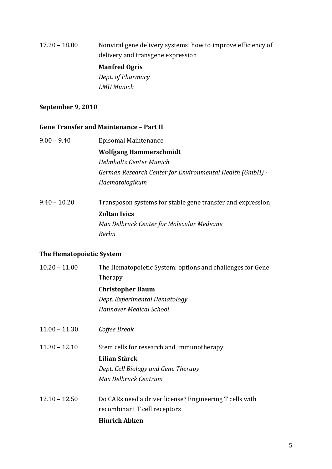## 17.20 – 18.00 Nonviral gene delivery systems: how to improve efficiency of delivery and transgene expression **Manfred Ogris**

*Dept. of Pharmacy LMU Munich*

### **September 9, 2010**

### **Gene Transfer and Maintenance – Part II**

- 9.00 9.40 Episomal Maintenance **Wolfgang Hammerschmidt** *Helmholtz Center Munich German Research Center for Environmental Health (GmbH) Haematologikum*
- 9.40 10.20 Transposon systems for stable gene transfer and expression **Zoltan Ivics** *Max Delbruck Center for Molecular Medicine Berlin*

### **The Hematopoietic System**

10.20 – 11.00 The Hematopoietic System: options and challenges for Gene Therapy **Christopher Baum** *Dept. Experimental Hematology Hannover Medical School* 11.00 – 11.30 *Coffee Break* 11.30 – 12.10 Stem cells for research and immunotherapy **Lilian Stärck**

> *Dept. Cell Biology and Gene Therapy Max Delbrück Centrum*

12.10 – 12.50 Do CARs need a driver license? Engineering T cells with recombinant T cell receptors

### **Hinrich Abken**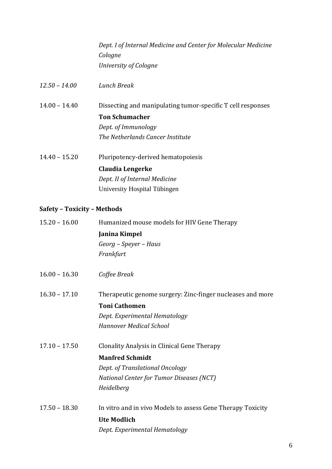*Dept. I of Internal Medicine and Center for Molecular Medicine Cologne University of Cologne*

*12.50 – 14.00 Lunch Break*

14.00 – 14.40 Dissecting and manipulating tumor‐specific T cell responses **Ton Schumacher**  *Dept. of Immunology The Netherlands Cancer Institute*

14.40 – 15.20 Pluripotency‐derived hematopoiesis **Claudia Lengerke** *Dept. II of Internal Medicine* University Hospital Tübingen

## **Safety – Toxicity – Methods**

| $15.20 - 16.00$ | Humanized mouse models for HIV Gene Therapy                 |
|-----------------|-------------------------------------------------------------|
|                 | Janina Kimpel                                               |
|                 | Georg - Speyer - Haus                                       |
|                 | Frankfurt                                                   |
| $16.00 - 16.30$ | Coffee Break                                                |
| $16.30 - 17.10$ | Therapeutic genome surgery: Zinc-finger nucleases and more  |
|                 | <b>Toni Cathomen</b>                                        |
|                 | Dept. Experimental Hematology                               |
|                 | <b>Hannover Medical School</b>                              |
| $17.10 - 17.50$ | Clonality Analysis in Clinical Gene Therapy                 |
|                 | <b>Manfred Schmidt</b>                                      |
|                 | Dept. of Translational Oncology                             |
|                 | National Center for Tumor Diseases (NCT)                    |
|                 | Heidelberg                                                  |
| $17.50 - 18.30$ | In vitro and in vivo Models to assess Gene Therapy Toxicity |
|                 | <b>Ute Modlich</b>                                          |
|                 | Dept. Experimental Hematology                               |
|                 |                                                             |